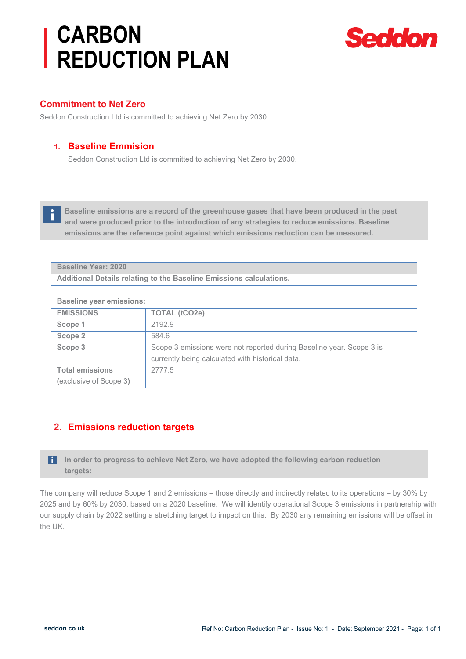# **CARBON REDUCTION PLAN**



#### **Commitment to Net Zero**

ň

Seddon Construction Ltd is committed to achieving Net Zero by 2030.

#### **1. Baseline Emmision**

Seddon Construction Ltd is committed to achieving Net Zero by 2030.

**Baseline emissions are a record of the greenhouse gases that have been produced in the past and were produced prior to the introduction of any strategies to reduce emissions. Baseline emissions are the reference point against which emissions reduction can be measured.**

| <b>Baseline Year: 2020</b>                                          |                                                                      |
|---------------------------------------------------------------------|----------------------------------------------------------------------|
| Additional Details relating to the Baseline Emissions calculations. |                                                                      |
|                                                                     |                                                                      |
| <b>Baseline year emissions:</b>                                     |                                                                      |
| <b>EMISSIONS</b>                                                    | <b>TOTAL (tCO2e)</b>                                                 |
| Scope 1                                                             | 2192.9                                                               |
| Scope 2                                                             | 584.6                                                                |
| Scope 3                                                             | Scope 3 emissions were not reported during Baseline year. Scope 3 is |
|                                                                     | currently being calculated with historical data.                     |
| <b>Total emissions</b>                                              | 2777.5                                                               |
| (exclusive of Scope 3)                                              |                                                                      |

## **2. Emissions reduction targets**

**In order to progress to achieve Net Zero, we have adopted the following carbon reduction targets:**

The company will reduce Scope 1 and 2 emissions – those directly and indirectly related to its operations – by 30% by 2025 and by 60% by 2030, based on a 2020 baseline. We will identify operational Scope 3 emissions in partnership with our supply chain by 2022 setting a stretching target to impact on this. By 2030 any remaining emissions will be offset in the UK.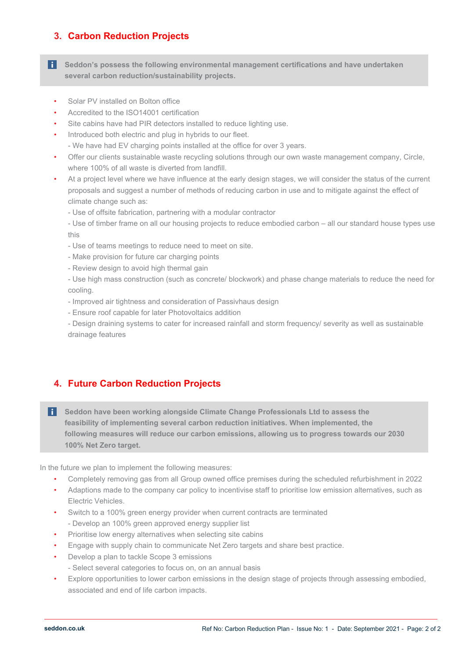# **3. Carbon Reduction Projects**

- **f** Seddon's possess the following environmental management certifications and have undertaken **several carbon reduction/sustainability projects.** 
	- Solar PV installed on Bolton office
	- Accredited to the ISO14001 certification
	- Site cabins have had PIR detectors installed to reduce lighting use.
	- Introduced both electric and plug in hybrids to our fleet. - We have had EV charging points installed at the office for over 3 years.
	- Offer our clients sustainable waste recycling solutions through our own waste management company, Circle, where 100% of all waste is diverted from landfill.
	- At a project level where we have influence at the early design stages, we will consider the status of the current proposals and suggest a number of methods of reducing carbon in use and to mitigate against the effect of climate change such as:
		- Use of offsite fabrication, partnering with a modular contractor
		- Use of timber frame on all our housing projects to reduce embodied carbon all our standard house types use this
		- Use of teams meetings to reduce need to meet on site.
		- Make provision for future car charging points
		- Review design to avoid high thermal gain
		- Use high mass construction (such as concrete/ blockwork) and phase change materials to reduce the need for cooling.
		- Improved air tightness and consideration of Passivhaus design
		- Ensure roof capable for later Photovoltaics addition
		- Design draining systems to cater for increased rainfall and storm frequency/ severity as well as sustainable drainage features

## **4. Future Carbon Reduction Projects**

**Seddon have been working alongside Climate Change Professionals Ltd to assess the feasibility of implementing several carbon reduction initiatives. When implemented, the following measures will reduce our carbon emissions, allowing us to progress towards our 2030 100% Net Zero target.**

In the future we plan to implement the following measures:

- Completely removing gas from all Group owned office premises during the scheduled refurbishment in 2022
- Adaptions made to the company car policy to incentivise staff to prioritise low emission alternatives, such as Electric Vehicles.
- Switch to a 100% green energy provider when current contracts are terminated - Develop an 100% green approved energy supplier list
- Prioritise low energy alternatives when selecting site cabins
- Engage with supply chain to communicate Net Zero targets and share best practice.
- Develop a plan to tackle Scope 3 emissions
	- Select several categories to focus on, on an annual basis
- Explore opportunities to lower carbon emissions in the design stage of projects through assessing embodied, associated and end of life carbon impacts.